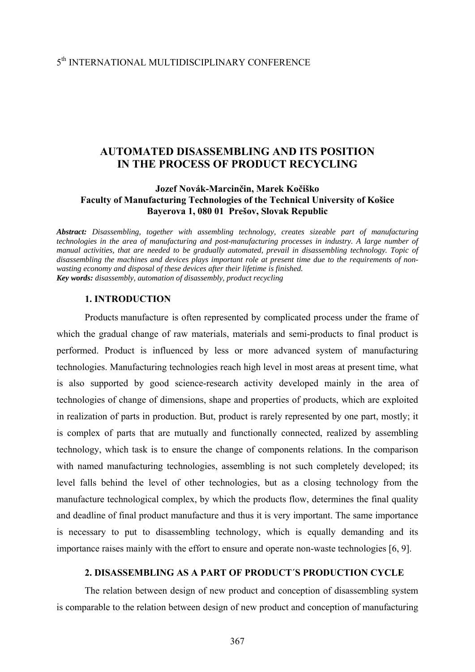# **AUTOMATED DISASSEMBLING AND ITS POSITION IN THE PROCESS OF PRODUCT RECYCLING**

# **Jozef Novák-Marcinčin, Marek Kočiško Faculty of Manufacturing Technologies of the Technical University of Košice Bayerova 1, 080 01 Prešov, Slovak Republic**

*Abstract: Disassembling, together with assembling technology, creates sizeable part of manufacturing technologies in the area of manufacturing and post-manufacturing processes in industry. A large number of manual activities, that are needed to be gradually automated, prevail in disassembling technology. Topic of disassembling the machines and devices plays important role at present time due to the requirements of nonwasting economy and disposal of these devices after their lifetime is finished. Key words: disassembly, automation of disassembly, product recycling* 

### **1. INTRODUCTION**

Products manufacture is often represented by complicated process under the frame of which the gradual change of raw materials, materials and semi-products to final product is performed. Product is influenced by less or more advanced system of manufacturing technologies. Manufacturing technologies reach high level in most areas at present time, what is also supported by good science-research activity developed mainly in the area of technologies of change of dimensions, shape and properties of products, which are exploited in realization of parts in production. But, product is rarely represented by one part, mostly; it is complex of parts that are mutually and functionally connected, realized by assembling technology, which task is to ensure the change of components relations. In the comparison with named manufacturing technologies, assembling is not such completely developed; its level falls behind the level of other technologies, but as a closing technology from the manufacture technological complex, by which the products flow, determines the final quality and deadline of final product manufacture and thus it is very important. The same importance is necessary to put to disassembling technology, which is equally demanding and its importance raises mainly with the effort to ensure and operate non-waste technologies [6, 9].

# **2. DISASSEMBLING AS A PART OF PRODUCT´S PRODUCTION CYCLE**

The relation between design of new product and conception of disassembling system is comparable to the relation between design of new product and conception of manufacturing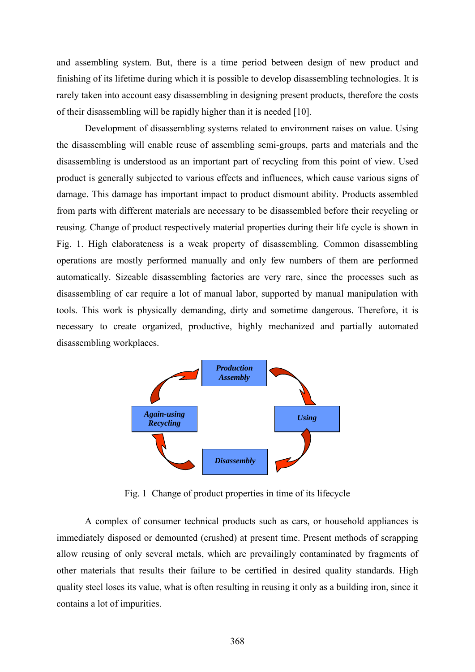and assembling system. But, there is a time period between design of new product and finishing of its lifetime during which it is possible to develop disassembling technologies. It is rarely taken into account easy disassembling in designing present products, therefore the costs of their disassembling will be rapidly higher than it is needed [10].

Development of disassembling systems related to environment raises on value. Using the disassembling will enable reuse of assembling semi-groups, parts and materials and the disassembling is understood as an important part of recycling from this point of view. Used product is generally subjected to various effects and influences, which cause various signs of damage. This damage has important impact to product dismount ability. Products assembled from parts with different materials are necessary to be disassembled before their recycling or reusing. Change of product respectively material properties during their life cycle is shown in Fig. 1. High elaborateness is a weak property of disassembling. Common disassembling operations are mostly performed manually and only few numbers of them are performed automatically. Sizeable disassembling factories are very rare, since the processes such as disassembling of car require a lot of manual labor, supported by manual manipulation with tools. This work is physically demanding, dirty and sometime dangerous. Therefore, it is necessary to create organized, productive, highly mechanized and partially automated disassembling workplaces.



Fig. 1 Change of product properties in time of its lifecycle

A complex of consumer technical products such as cars, or household appliances is immediately disposed or demounted (crushed) at present time. Present methods of scrapping allow reusing of only several metals, which are prevailingly contaminated by fragments of other materials that results their failure to be certified in desired quality standards. High quality steel loses its value, what is often resulting in reusing it only as a building iron, since it contains a lot of impurities.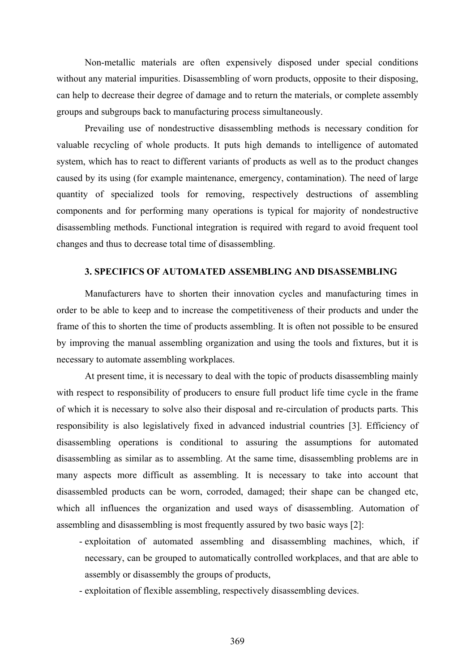Non-metallic materials are often expensively disposed under special conditions without any material impurities. Disassembling of worn products, opposite to their disposing, can help to decrease their degree of damage and to return the materials, or complete assembly groups and subgroups back to manufacturing process simultaneously.

Prevailing use of nondestructive disassembling methods is necessary condition for valuable recycling of whole products. It puts high demands to intelligence of automated system, which has to react to different variants of products as well as to the product changes caused by its using (for example maintenance, emergency, contamination). The need of large quantity of specialized tools for removing, respectively destructions of assembling components and for performing many operations is typical for majority of nondestructive disassembling methods. Functional integration is required with regard to avoid frequent tool changes and thus to decrease total time of disassembling.

#### **3. SPECIFICS OF AUTOMATED ASSEMBLING AND DISASSEMBLING**

 Manufacturers have to shorten their innovation cycles and manufacturing times in order to be able to keep and to increase the competitiveness of their products and under the frame of this to shorten the time of products assembling. It is often not possible to be ensured by improving the manual assembling organization and using the tools and fixtures, but it is necessary to automate assembling workplaces.

At present time, it is necessary to deal with the topic of products disassembling mainly with respect to responsibility of producers to ensure full product life time cycle in the frame of which it is necessary to solve also their disposal and re-circulation of products parts. This responsibility is also legislatively fixed in advanced industrial countries [3]. Efficiency of disassembling operations is conditional to assuring the assumptions for automated disassembling as similar as to assembling. At the same time, disassembling problems are in many aspects more difficult as assembling. It is necessary to take into account that disassembled products can be worn, corroded, damaged; their shape can be changed etc, which all influences the organization and used ways of disassembling. Automation of assembling and disassembling is most frequently assured by two basic ways [2]:

- exploitation of automated assembling and disassembling machines, which, if necessary, can be grouped to automatically controlled workplaces, and that are able to assembly or disassembly the groups of products,
- exploitation of flexible assembling, respectively disassembling devices.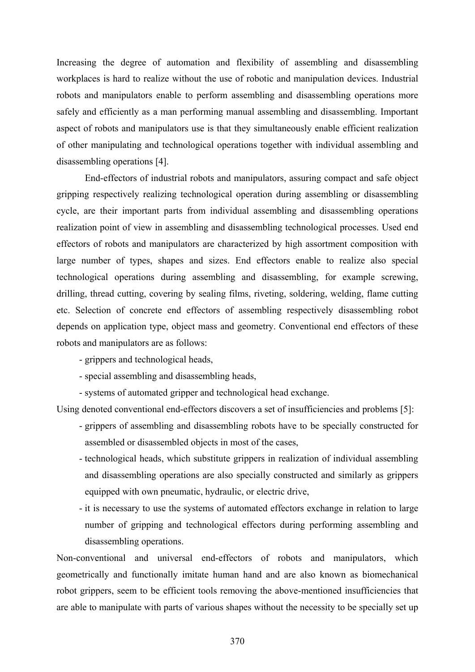Increasing the degree of automation and flexibility of assembling and disassembling workplaces is hard to realize without the use of robotic and manipulation devices. Industrial robots and manipulators enable to perform assembling and disassembling operations more safely and efficiently as a man performing manual assembling and disassembling. Important aspect of robots and manipulators use is that they simultaneously enable efficient realization of other manipulating and technological operations together with individual assembling and disassembling operations [4].

 End-effectors of industrial robots and manipulators, assuring compact and safe object gripping respectively realizing technological operation during assembling or disassembling cycle, are their important parts from individual assembling and disassembling operations realization point of view in assembling and disassembling technological processes. Used end effectors of robots and manipulators are characterized by high assortment composition with large number of types, shapes and sizes. End effectors enable to realize also special technological operations during assembling and disassembling, for example screwing, drilling, thread cutting, covering by sealing films, riveting, soldering, welding, flame cutting etc. Selection of concrete end effectors of assembling respectively disassembling robot depends on application type, object mass and geometry. Conventional end effectors of these robots and manipulators are as follows:

- grippers and technological heads,
- special assembling and disassembling heads,
- systems of automated gripper and technological head exchange.

Using denoted conventional end-effectors discovers a set of insufficiencies and problems [5]:

- grippers of assembling and disassembling robots have to be specially constructed for assembled or disassembled objects in most of the cases,
- technological heads, which substitute grippers in realization of individual assembling and disassembling operations are also specially constructed and similarly as grippers equipped with own pneumatic, hydraulic, or electric drive,
- it is necessary to use the systems of automated effectors exchange in relation to large number of gripping and technological effectors during performing assembling and disassembling operations.

Non-conventional and universal end-effectors of robots and manipulators, which geometrically and functionally imitate human hand and are also known as biomechanical robot grippers, seem to be efficient tools removing the above-mentioned insufficiencies that are able to manipulate with parts of various shapes without the necessity to be specially set up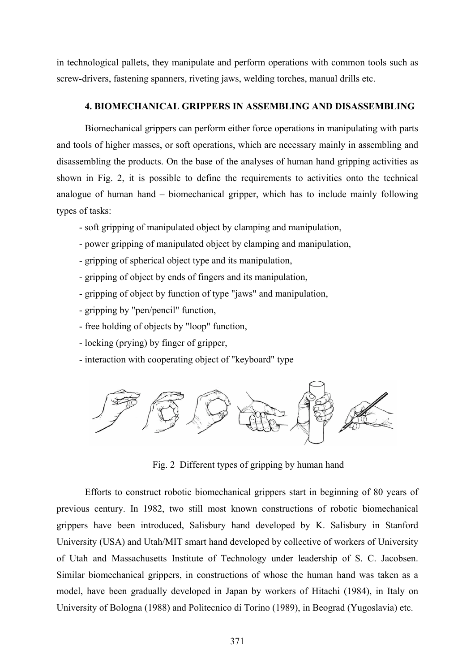in technological pallets, they manipulate and perform operations with common tools such as screw-drivers, fastening spanners, riveting jaws, welding torches, manual drills etc.

### **4. BIOMECHANICAL GRIPPERS IN ASSEMBLING AND DISASSEMBLING**

 Biomechanical grippers can perform either force operations in manipulating with parts and tools of higher masses, or soft operations, which are necessary mainly in assembling and disassembling the products. On the base of the analyses of human hand gripping activities as shown in Fig. 2, it is possible to define the requirements to activities onto the technical analogue of human hand – biomechanical gripper, which has to include mainly following types of tasks:

- soft gripping of manipulated object by clamping and manipulation,
- power gripping of manipulated object by clamping and manipulation,
- gripping of spherical object type and its manipulation,
- gripping of object by ends of fingers and its manipulation,
- gripping of object by function of type "jaws" and manipulation,
- gripping by "pen/pencil" function,
- free holding of objects by "loop" function,
- locking (prying) by finger of gripper,
- interaction with cooperating object of "keyboard" type



Fig. 2 Different types of gripping by human hand

Efforts to construct robotic biomechanical grippers start in beginning of 80 years of previous century. In 1982, two still most known constructions of robotic biomechanical grippers have been introduced, Salisbury hand developed by K. Salisbury in Stanford University (USA) and Utah/MIT smart hand developed by collective of workers of University of Utah and Massachusetts Institute of Technology under leadership of S. C. Jacobsen. Similar biomechanical grippers, in constructions of whose the human hand was taken as a model, have been gradually developed in Japan by workers of Hitachi (1984), in Italy on University of Bologna (1988) and Politecnico di Torino (1989), in Beograd (Yugoslavia) etc.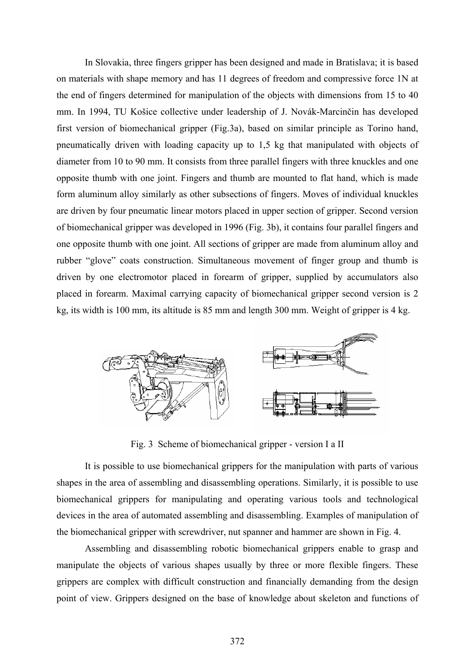In Slovakia, three fingers gripper has been designed and made in Bratislava; it is based on materials with shape memory and has 11 degrees of freedom and compressive force 1N at the end of fingers determined for manipulation of the objects with dimensions from 15 to 40 mm. In 1994, TU Košice collective under leadership of J. Novák-Marcinčin has developed first version of biomechanical gripper (Fig.3a), based on similar principle as Torino hand, pneumatically driven with loading capacity up to 1,5 kg that manipulated with objects of diameter from 10 to 90 mm. It consists from three parallel fingers with three knuckles and one opposite thumb with one joint. Fingers and thumb are mounted to flat hand, which is made form aluminum alloy similarly as other subsections of fingers. Moves of individual knuckles are driven by four pneumatic linear motors placed in upper section of gripper. Second version of biomechanical gripper was developed in 1996 (Fig. 3b), it contains four parallel fingers and one opposite thumb with one joint. All sections of gripper are made from aluminum alloy and rubber "glove" coats construction. Simultaneous movement of finger group and thumb is driven by one electromotor placed in forearm of gripper, supplied by accumulators also placed in forearm. Maximal carrying capacity of biomechanical gripper second version is 2 kg, its width is 100 mm, its altitude is 85 mm and length 300 mm. Weight of gripper is 4 kg.



Fig. 3 Scheme of biomechanical gripper - version I a II

 It is possible to use biomechanical grippers for the manipulation with parts of various shapes in the area of assembling and disassembling operations. Similarly, it is possible to use biomechanical grippers for manipulating and operating various tools and technological devices in the area of automated assembling and disassembling. Examples of manipulation of the biomechanical gripper with screwdriver, nut spanner and hammer are shown in Fig. 4.

 Assembling and disassembling robotic biomechanical grippers enable to grasp and manipulate the objects of various shapes usually by three or more flexible fingers. These grippers are complex with difficult construction and financially demanding from the design point of view. Grippers designed on the base of knowledge about skeleton and functions of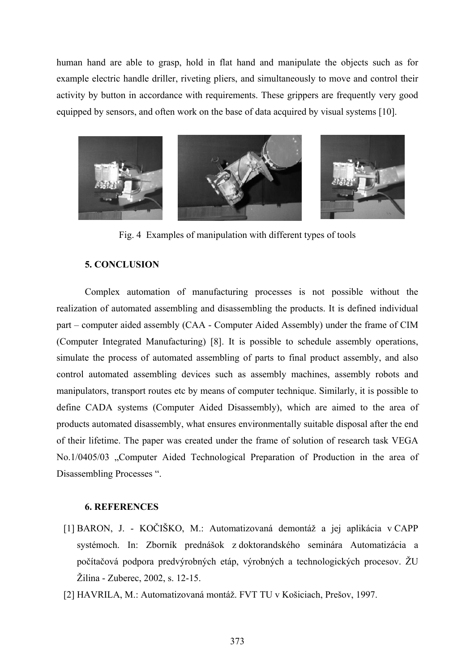human hand are able to grasp, hold in flat hand and manipulate the objects such as for example electric handle driller, riveting pliers, and simultaneously to move and control their activity by button in accordance with requirements. These grippers are frequently very good equipped by sensors, and often work on the base of data acquired by visual systems [10].



Fig. 4 Examples of manipulation with different types of tools

# **5. CONCLUSION**

 Complex automation of manufacturing processes is not possible without the realization of automated assembling and disassembling the products. It is defined individual part – computer aided assembly (CAA - Computer Aided Assembly) under the frame of CIM (Computer Integrated Manufacturing) [8]. It is possible to schedule assembly operations, simulate the process of automated assembling of parts to final product assembly, and also control automated assembling devices such as assembly machines, assembly robots and manipulators, transport routes etc by means of computer technique. Similarly, it is possible to define CADA systems (Computer Aided Disassembly), which are aimed to the area of products automated disassembly, what ensures environmentally suitable disposal after the end of their lifetime. The paper was created under the frame of solution of research task VEGA No.1/0405/03 "Computer Aided Technological Preparation of Production in the area of Disassembling Processes ".

### **6. REFERENCES**

- [1] BARON, J. KOČIŠKO, M.: Automatizovaná demontáž a jej aplikácia v CAPP systémoch. In: Zborník prednášok z doktorandského seminára Automatizácia a počítačová podpora predvýrobných etáp, výrobných a technologických procesov. ŽU Žilina - Zuberec, 2002, s. 12-15.
- [2] HAVRILA, M.: Automatizovaná montáž. FVT TU v Košiciach, Prešov, 1997.